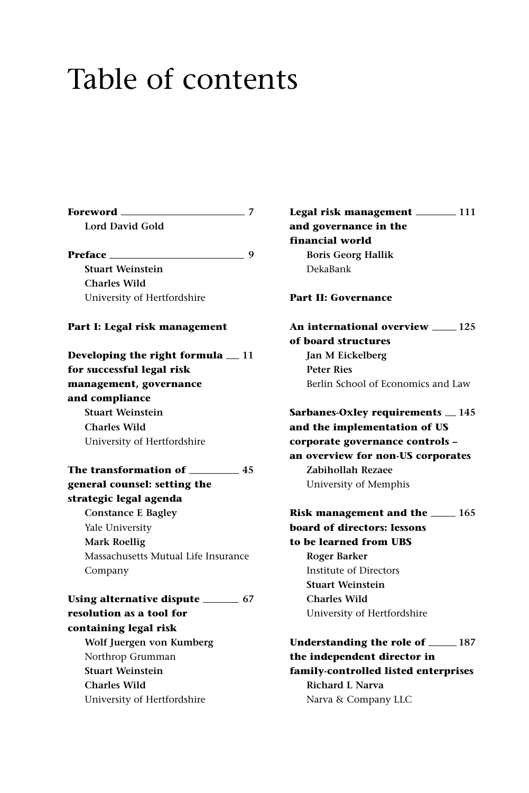# Table of contents

| Foreword ___<br>$\sim$ 7                                              |  |
|-----------------------------------------------------------------------|--|
| Lord David Gold                                                       |  |
| Preface __                                                            |  |
| <b>Stuart Weinstein</b>                                               |  |
| <b>Charles Wild</b>                                                   |  |
| University of Hertfordshire                                           |  |
| Part I: Legal risk management                                         |  |
| Developing the right formula $\equiv$ 11<br>for successful legal risk |  |
|                                                                       |  |
| management, governance<br>and compliance                              |  |
| <b>Stuart Weinstein</b>                                               |  |
| <b>Charles Wild</b>                                                   |  |
| University of Hertfordshire                                           |  |
|                                                                       |  |
| The transformation of ____<br>45                                      |  |
| general counsel: setting the                                          |  |
| strategic legal agenda                                                |  |
| <b>Constance E Bagley</b>                                             |  |
| Yale University                                                       |  |
| <b>Mark Roellig</b>                                                   |  |
| Massachusetts Mutual Life Insurance                                   |  |
| Company                                                               |  |
| Using alternative dispute _________ 67                                |  |
| resolution as a tool for                                              |  |
| containing legal risk                                                 |  |
| Wolf Juergen von Kumberg                                              |  |
| Northrop Grumman                                                      |  |
| <b>Stuart Weinstein</b>                                               |  |
| <b>Charles Wild</b>                                                   |  |
| University of Hertfordshire                                           |  |
|                                                                       |  |

**Legal risk management 111 and governance in the financial world Boris Georg Hallik** DekaBank

## **Part II: Governance**

**An international overview 125 of board structures Jan M Eickelberg Peter Ries** Berlin School of Economics and Law

**Sarbanes-Oxley requirements 145 and the implementation of US corporate governance controls – an overview for non-US corporates Zabihollah Rezaee** University of Memphis

**Risk management and the <b>165 board of directors: lessons to be learned from UBS Roger Barker** Institute of Directors **Stuart Weinstein Charles Wild** University of Hertfordshire

**Understanding the role of 187 the independent director in family-controlled listed enterprises Richard L Narva** Narva & Company LLC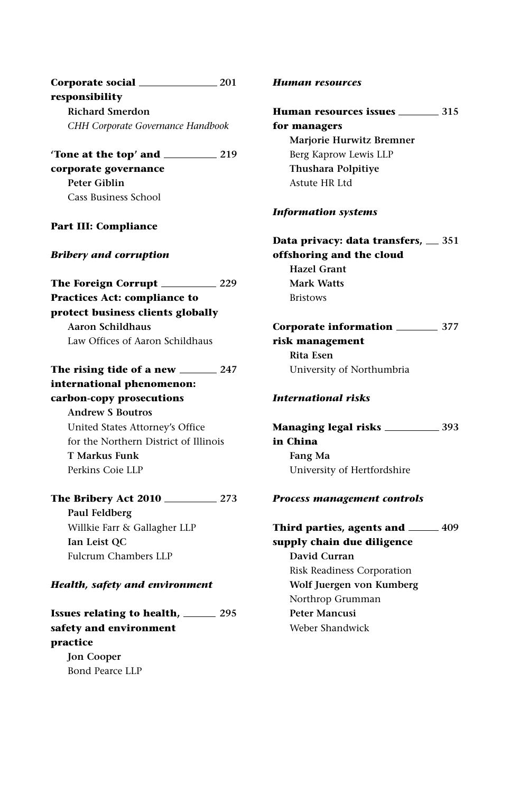| Corporate social __ | 201 |
|---------------------|-----|
| responsibility      |     |
| Richard Smerdon     |     |

*CHH Corporate Governance Handbook*

**'Tone at the top' and 219 corporate governance Peter Giblin** Cass Business School

## **Part III: Compliance**

## *Bribery and corruption*

**The Foreign Corrupt 229 Practices Act: compliance to protect business clients globally Aaron Schildhaus** Law Offices of Aaron Schildhaus

**The rising tide of a new 247**

# **international phenomenon: carbon-copy prosecutions Andrew S Boutros** United States Attorney's Office for the Northern District of Illinois **T Markus Funk** Perkins Coie LLP

# **The Bribery Act 2010 273 Paul Feldberg** Willkie Farr & Gallagher LLP **Ian Leist QC** Fulcrum Chambers LLP

## *Health, safety and environment*

**Issues relating to health, 295 safety and environment practice Jon Cooper** Bond Pearce LLP

#### *Human resources*

# **Human resources issues 315 for managers Marjorie Hurwitz Bremner** Berg Kaprow Lewis LLP **Thushara Polpitiye** Astute HR Ltd

## *Information systems*

**Data privacy: data transfers, 351 offshoring and the cloud Hazel Grant Mark Watts** Bristows

# **Corporate information 377 risk management Rita Esen**

University of Northumbria

# *International risks*

**Managing legal risks 393 in China Fang Ma** University of Hertfordshire

## *Process management controls*

# Third parties, agents and **1998 supply chain due diligence David Curran** Risk Readiness Corporation **Wolf Juergen von Kumberg** Northrop Grumman **Peter Mancusi** Weber Shandwick